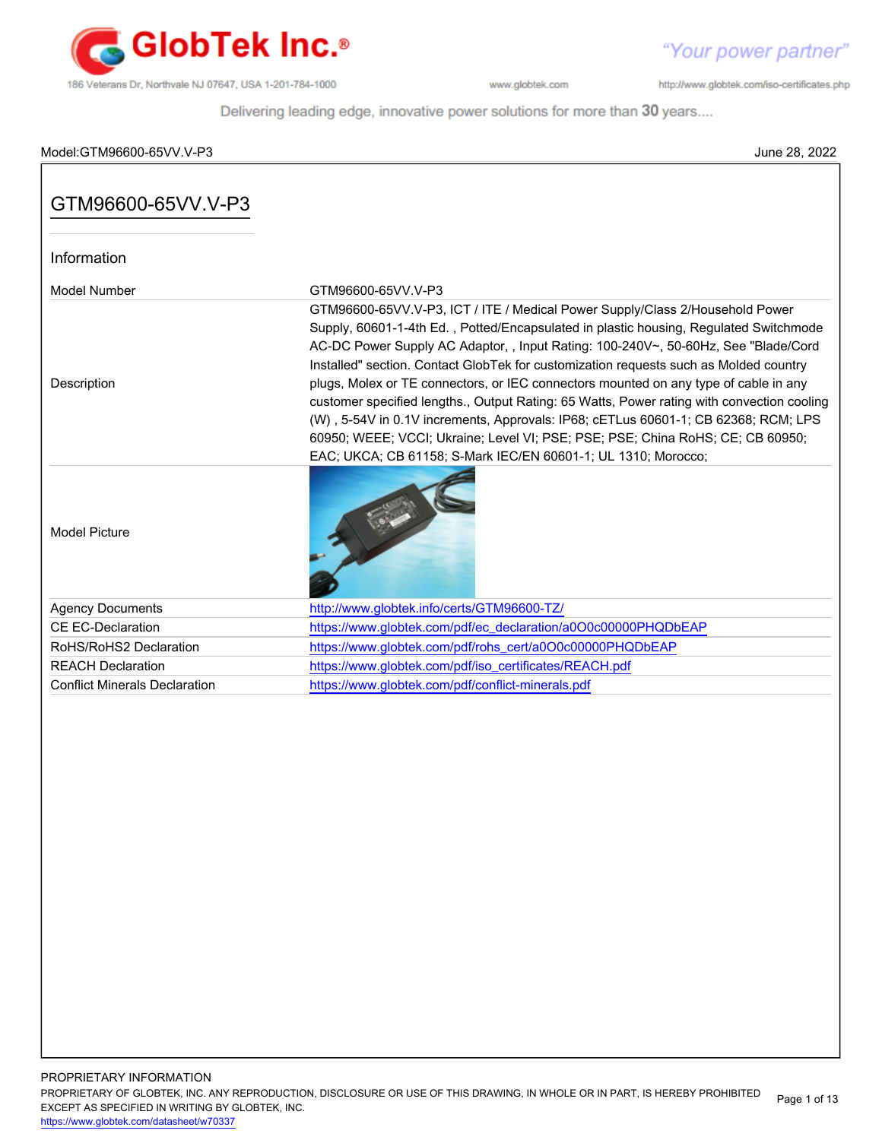

"Your power partner"

http://www.globtek.com/iso-certificates.php

Delivering leading edge, innovative power solutions for more than 30 years....

# Model:GTM96600-65VV.V-P3 June 28, 2022

| GTM96600-65VV.V-P3                   |                                                                                                                                                                                                                                                                                                                                                                                                                                                                                                                                                                                                                                                                                                                                                                                     |
|--------------------------------------|-------------------------------------------------------------------------------------------------------------------------------------------------------------------------------------------------------------------------------------------------------------------------------------------------------------------------------------------------------------------------------------------------------------------------------------------------------------------------------------------------------------------------------------------------------------------------------------------------------------------------------------------------------------------------------------------------------------------------------------------------------------------------------------|
| Information                          |                                                                                                                                                                                                                                                                                                                                                                                                                                                                                                                                                                                                                                                                                                                                                                                     |
| <b>Model Number</b>                  | GTM96600-65VV V-P3                                                                                                                                                                                                                                                                                                                                                                                                                                                                                                                                                                                                                                                                                                                                                                  |
| Description                          | GTM96600-65VV.V-P3, ICT / ITE / Medical Power Supply/Class 2/Household Power<br>Supply, 60601-1-4th Ed., Potted/Encapsulated in plastic housing, Regulated Switchmode<br>AC-DC Power Supply AC Adaptor, , Input Rating: 100-240V~, 50-60Hz, See "Blade/Cord<br>Installed" section. Contact GlobTek for customization requests such as Molded country<br>plugs, Molex or TE connectors, or IEC connectors mounted on any type of cable in any<br>customer specified lengths., Output Rating: 65 Watts, Power rating with convection cooling<br>(W), 5-54V in 0.1V increments, Approvals: IP68; cETLus 60601-1; CB 62368; RCM; LPS<br>60950; WEEE; VCCI; Ukraine; Level VI; PSE; PSE; PSE; China RoHS; CE; CB 60950;<br>EAC; UKCA; CB 61158; S-Mark IEC/EN 60601-1; UL 1310; Morocco; |
| <b>Model Picture</b>                 |                                                                                                                                                                                                                                                                                                                                                                                                                                                                                                                                                                                                                                                                                                                                                                                     |
| <b>Agency Documents</b>              | http://www.globtek.info/certs/GTM96600-TZ/                                                                                                                                                                                                                                                                                                                                                                                                                                                                                                                                                                                                                                                                                                                                          |
| <b>CE EC-Declaration</b>             | https://www.globtek.com/pdf/ec_declaration/a0O0c00000PHQDbEAP                                                                                                                                                                                                                                                                                                                                                                                                                                                                                                                                                                                                                                                                                                                       |
| RoHS/RoHS2 Declaration               | https://www.globtek.com/pdf/rohs_cert/a0O0c00000PHQDbEAP                                                                                                                                                                                                                                                                                                                                                                                                                                                                                                                                                                                                                                                                                                                            |
| <b>REACH Declaration</b>             | https://www.globtek.com/pdf/iso_certificates/REACH.pdf                                                                                                                                                                                                                                                                                                                                                                                                                                                                                                                                                                                                                                                                                                                              |
| <b>Conflict Minerals Declaration</b> | https://www.globtek.com/pdf/conflict-minerals.pdf                                                                                                                                                                                                                                                                                                                                                                                                                                                                                                                                                                                                                                                                                                                                   |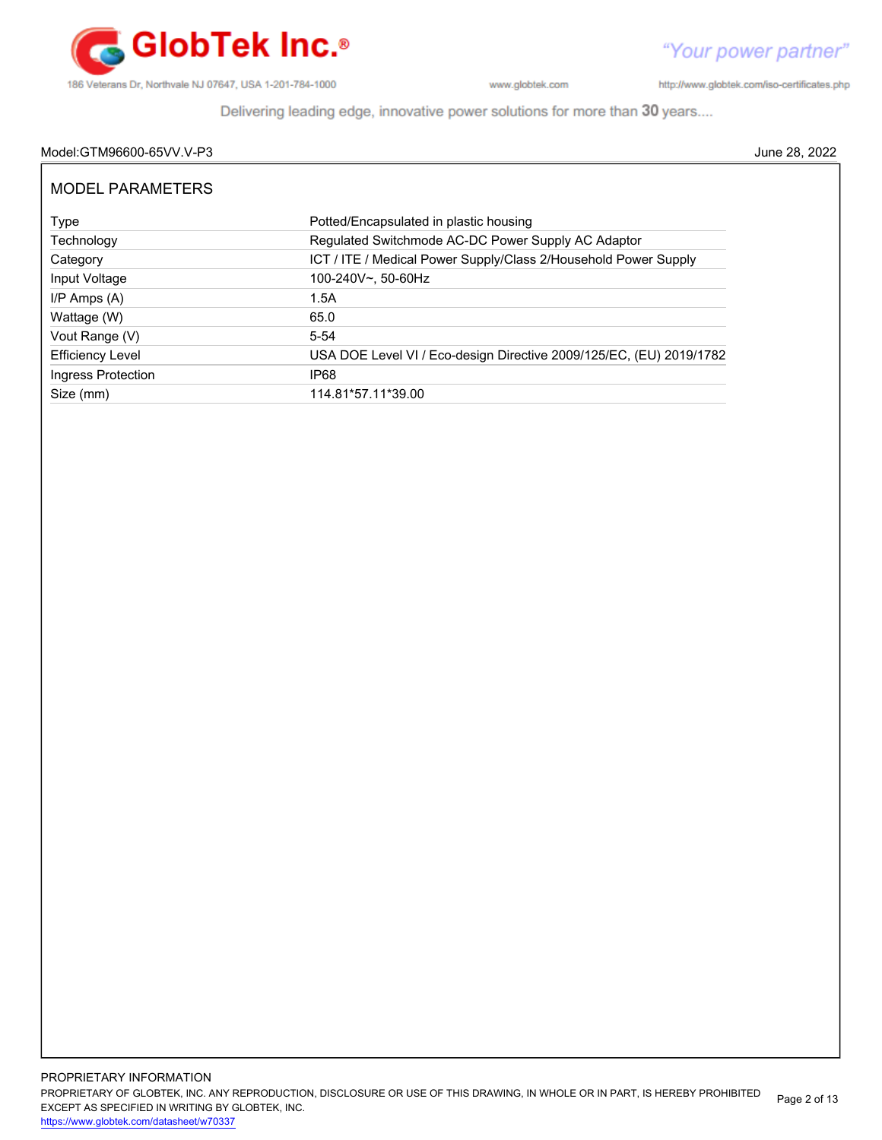

http://www.globtek.com/iso-certificates.php

"Your power partner"

Delivering leading edge, innovative power solutions for more than 30 years....

# Model:GTM96600-65VV.V-P3 June 28, 2022

| MODEL PARAMETERS        |                                                                     |
|-------------------------|---------------------------------------------------------------------|
| Type                    | Potted/Encapsulated in plastic housing                              |
| Technology              | Regulated Switchmode AC-DC Power Supply AC Adaptor                  |
| Category                | ICT / ITE / Medical Power Supply/Class 2/Household Power Supply     |
| Input Voltage           | 100-240V~, 50-60Hz                                                  |
| $I/P$ Amps $(A)$        | 1.5A                                                                |
| Wattage (W)             | 65.0                                                                |
| Vout Range (V)          | $5 - 54$                                                            |
| <b>Efficiency Level</b> | USA DOE Level VI / Eco-design Directive 2009/125/EC, (EU) 2019/1782 |
| Ingress Protection      | IP68                                                                |
| Size (mm)               | 114.81*57.11*39.00                                                  |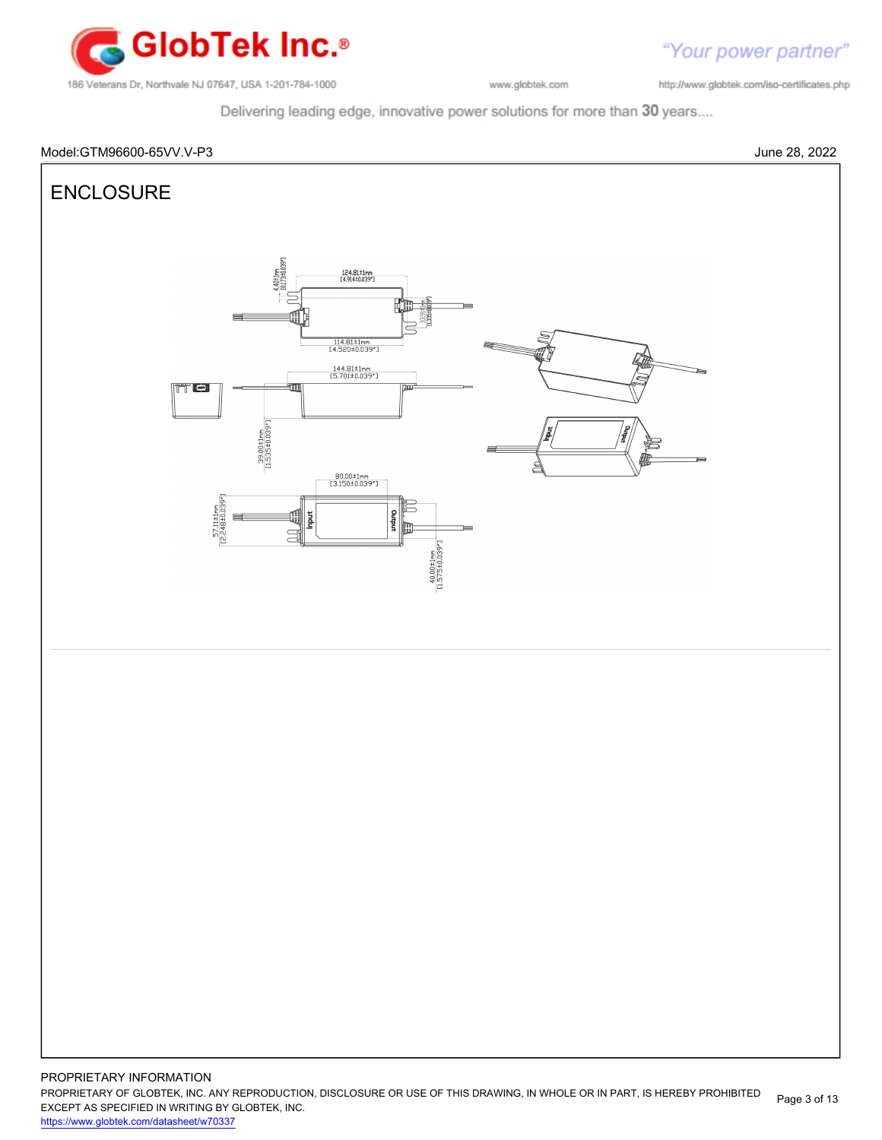

http://www.globtek.com/iso-certificates.php

"Your power partner"

Delivering leading edge, innovative power solutions for more than 30 years....



PROPRIETARY OF GLOBTEK, INC. ANY REPRODUCTION, DISCLOSURE OR USE OF THIS DRAWING, IN WHOLE OR IN PART, IS HEREBY PROHIBITED EXCEPT AS SPECIFIED IN WRITING BY GLOBTEK, INC. <https://www.globtek.com/datasheet/w70337> Page 3 of 13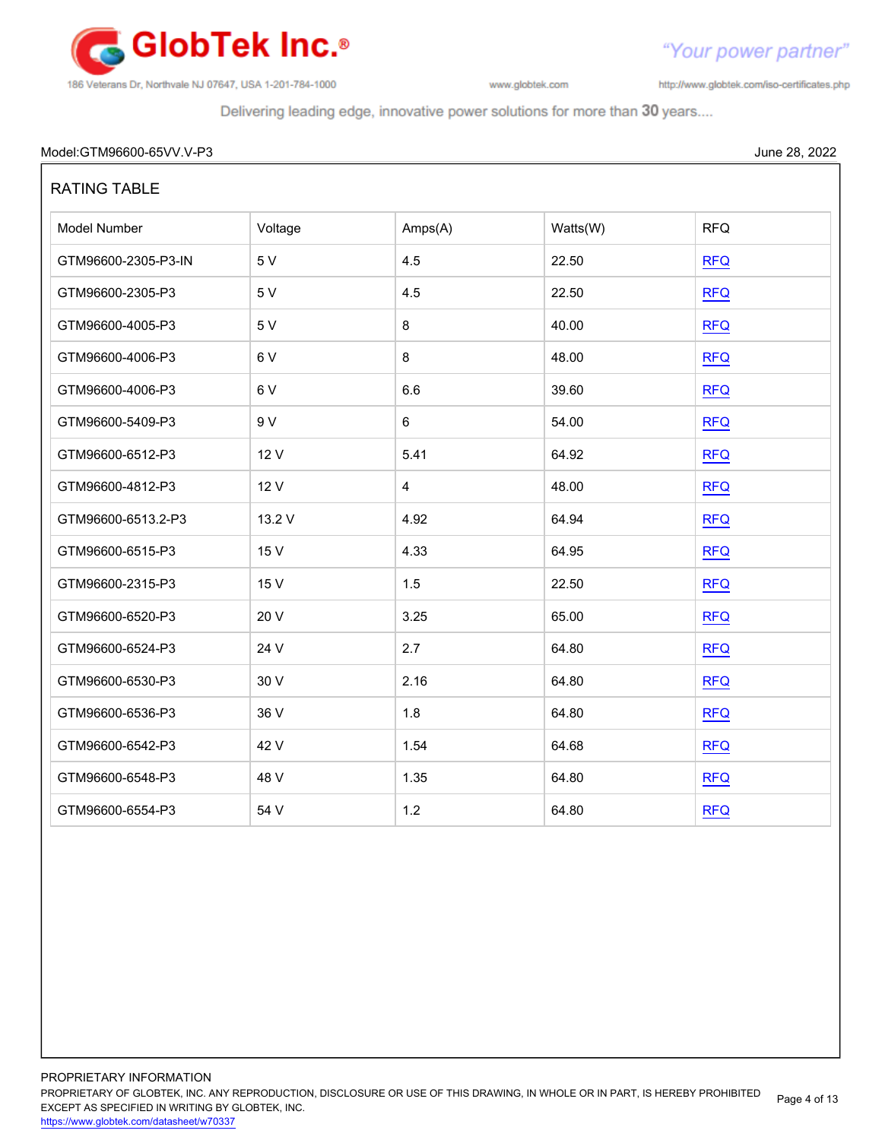

http://www.globtek.com/iso-certificates.php

Delivering leading edge, innovative power solutions for more than 30 years....

# Model:GTM96600-65VV.V-P3 June 28, 2022

| <b>RATING TABLE</b> |         |                |          |            |
|---------------------|---------|----------------|----------|------------|
| Model Number        | Voltage | Amps(A)        | Watts(W) | <b>RFQ</b> |
| GTM96600-2305-P3-IN | 5 V     | 4.5            | 22.50    | <b>RFQ</b> |
| GTM96600-2305-P3    | 5 V     | 4.5            | 22.50    | <b>RFQ</b> |
| GTM96600-4005-P3    | 5 V     | 8              | 40.00    | <b>RFQ</b> |
| GTM96600-4006-P3    | 6V      | 8              | 48.00    | <b>RFQ</b> |
| GTM96600-4006-P3    | 6V      | 6.6            | 39.60    | <b>RFQ</b> |
| GTM96600-5409-P3    | 9 V     | 6              | 54.00    | <b>RFQ</b> |
| GTM96600-6512-P3    | 12 V    | 5.41           | 64.92    | <b>RFQ</b> |
| GTM96600-4812-P3    | 12 V    | $\overline{4}$ | 48.00    | <b>RFQ</b> |
| GTM96600-6513.2-P3  | 13.2 V  | 4.92           | 64.94    | <b>RFQ</b> |
| GTM96600-6515-P3    | 15 V    | 4.33           | 64.95    | <b>RFQ</b> |
| GTM96600-2315-P3    | 15 V    | 1.5            | 22.50    | <b>RFQ</b> |
| GTM96600-6520-P3    | 20 V    | 3.25           | 65.00    | <b>RFQ</b> |
| GTM96600-6524-P3    | 24 V    | 2.7            | 64.80    | <b>RFQ</b> |
| GTM96600-6530-P3    | 30 V    | 2.16           | 64.80    | <b>RFQ</b> |
| GTM96600-6536-P3    | 36 V    | 1.8            | 64.80    | <b>RFQ</b> |
| GTM96600-6542-P3    | 42 V    | 1.54           | 64.68    | <b>RFQ</b> |
| GTM96600-6548-P3    | 48 V    | 1.35           | 64.80    | <b>RFQ</b> |
| GTM96600-6554-P3    | 54 V    | 1.2            | 64.80    | <b>RFQ</b> |

PROPRIETARY OF GLOBTEK, INC. ANY REPRODUCTION, DISCLOSURE OR USE OF THIS DRAWING, IN WHOLE OR IN PART, IS HEREBY PROHIBITED EXCEPT AS SPECIFIED IN WRITING BY GLOBTEK, INC. Page 4 of 13

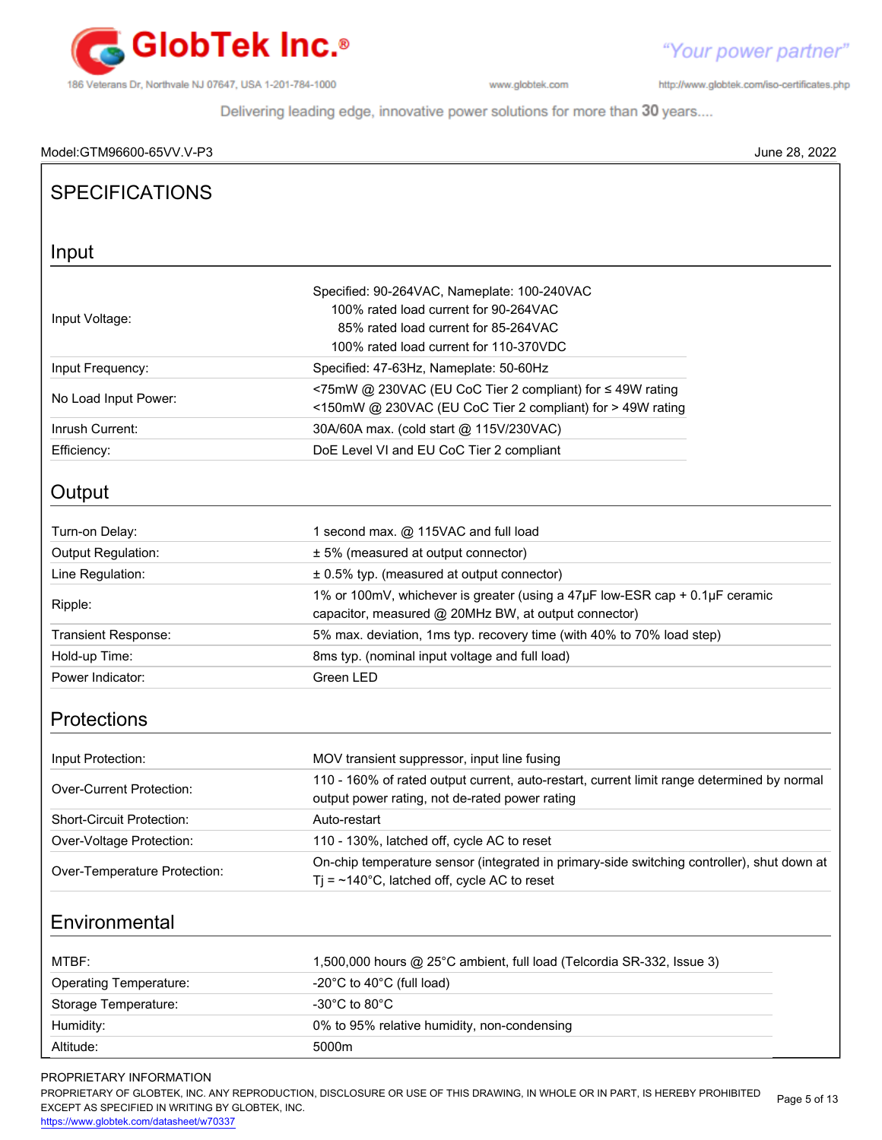

"Your power partner" http://www.globtek.com/iso-certificates.php

Delivering leading edge, innovative power solutions for more than 30 years....

| Model:GTM96600-65VV.V-P3      | June 28, 2022                                                                                                                                                          |
|-------------------------------|------------------------------------------------------------------------------------------------------------------------------------------------------------------------|
| <b>SPECIFICATIONS</b>         |                                                                                                                                                                        |
|                               |                                                                                                                                                                        |
| Input                         |                                                                                                                                                                        |
| Input Voltage:                | Specified: 90-264VAC, Nameplate: 100-240VAC<br>100% rated load current for 90-264VAC<br>85% rated load current for 85-264VAC<br>100% rated load current for 110-370VDC |
| Input Frequency:              | Specified: 47-63Hz, Nameplate: 50-60Hz                                                                                                                                 |
| No Load Input Power:          | <75mW @ 230VAC (EU CoC Tier 2 compliant) for ≤ 49W rating<br><150mW @ 230VAC (EU CoC Tier 2 compliant) for > 49W rating                                                |
| Inrush Current:               | 30A/60A max. (cold start @ 115V/230VAC)                                                                                                                                |
| Efficiency:                   | DoE Level VI and EU CoC Tier 2 compliant                                                                                                                               |
| Output                        |                                                                                                                                                                        |
| Turn-on Delay:                | 1 second max. @ 115VAC and full load                                                                                                                                   |
| Output Regulation:            | ± 5% (measured at output connector)                                                                                                                                    |
| Line Regulation:              | ± 0.5% typ. (measured at output connector)                                                                                                                             |
| Ripple:                       | 1% or 100mV, whichever is greater (using a 47µF low-ESR cap + 0.1µF ceramic<br>capacitor, measured @ 20MHz BW, at output connector)                                    |
| Transient Response:           | 5% max. deviation, 1ms typ. recovery time (with 40% to 70% load step)                                                                                                  |
| Hold-up Time:                 | 8ms typ. (nominal input voltage and full load)                                                                                                                         |
| Power Indicator:              | Green LED                                                                                                                                                              |
| <b>Protections</b>            |                                                                                                                                                                        |
| Input Protection:             | MOV transient suppressor, input line fusing                                                                                                                            |
| Over-Current Protection:      | 110 - 160% of rated output current, auto-restart, current limit range determined by normal<br>output power rating, not de-rated power rating                           |
| Short-Circuit Protection:     | Auto-restart                                                                                                                                                           |
| Over-Voltage Protection:      | 110 - 130%, latched off, cycle AC to reset                                                                                                                             |
| Over-Temperature Protection:  | On-chip temperature sensor (integrated in primary-side switching controller), shut down at<br>$Tj = -140^{\circ}C$ , latched off, cycle AC to reset                    |
| Environmental                 |                                                                                                                                                                        |
| MTBF:                         | 1,500,000 hours @ 25°C ambient, full load (Telcordia SR-332, Issue 3)                                                                                                  |
| <b>Operating Temperature:</b> | -20°C to 40°C (full load)                                                                                                                                              |
| Storage Temperature:          | -30°C to 80°C                                                                                                                                                          |
| Humidity:                     | 0% to 95% relative humidity, non-condensing                                                                                                                            |
| Altitude:                     | 5000m                                                                                                                                                                  |

# PROPRIETARY INFORMATION

PROPRIETARY OF GLOBTEK, INC. ANY REPRODUCTION, DISCLOSURE OR USE OF THIS DRAWING, IN WHOLE OR IN PART, IS HEREBY PROHIBITED EXCEPT AS SPECIFIED IN WRITING BY GLOBTEK, INC. Page 5 of 13

<https://www.globtek.com/datasheet/w70337>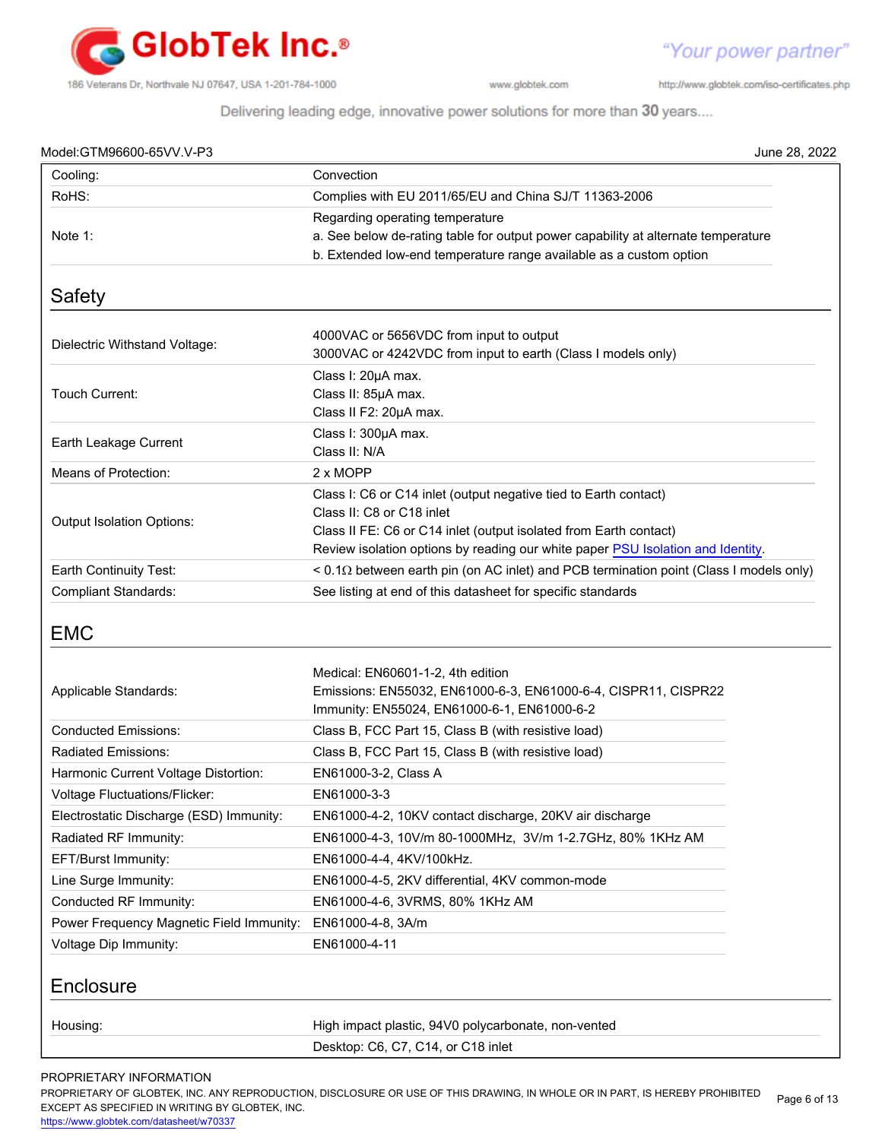

"Your power partner" http://www.globtek.com/iso-certificates.php

Delivering leading edge, innovative power solutions for more than 30 years....

| Model:GTM96600-65VV.V-P3                                                                                                                                                                                                                                                                                                                                                      |                                                                                                     | June 28, 2022 |
|-------------------------------------------------------------------------------------------------------------------------------------------------------------------------------------------------------------------------------------------------------------------------------------------------------------------------------------------------------------------------------|-----------------------------------------------------------------------------------------------------|---------------|
| Cooling:                                                                                                                                                                                                                                                                                                                                                                      | Convection                                                                                          |               |
| RoHS:                                                                                                                                                                                                                                                                                                                                                                         | Complies with EU 2011/65/EU and China SJ/T 11363-2006                                               |               |
|                                                                                                                                                                                                                                                                                                                                                                               | Regarding operating temperature                                                                     |               |
| Note 1:                                                                                                                                                                                                                                                                                                                                                                       | a. See below de-rating table for output power capability at alternate temperature                   |               |
|                                                                                                                                                                                                                                                                                                                                                                               | b. Extended low-end temperature range available as a custom option                                  |               |
| <b>Safety</b>                                                                                                                                                                                                                                                                                                                                                                 |                                                                                                     |               |
|                                                                                                                                                                                                                                                                                                                                                                               | 4000VAC or 5656VDC from input to output                                                             |               |
| Dielectric Withstand Voltage:                                                                                                                                                                                                                                                                                                                                                 | 3000VAC or 4242VDC from input to earth (Class I models only)                                        |               |
|                                                                                                                                                                                                                                                                                                                                                                               | Class I: 20µA max.                                                                                  |               |
| Touch Current:                                                                                                                                                                                                                                                                                                                                                                | Class II: 85µA max.                                                                                 |               |
|                                                                                                                                                                                                                                                                                                                                                                               | Class II F2: 20µA max.                                                                              |               |
|                                                                                                                                                                                                                                                                                                                                                                               | Class I: 300µA max.                                                                                 |               |
| Earth Leakage Current                                                                                                                                                                                                                                                                                                                                                         | Class II: N/A                                                                                       |               |
| Means of Protection:                                                                                                                                                                                                                                                                                                                                                          | 2 x MOPP                                                                                            |               |
|                                                                                                                                                                                                                                                                                                                                                                               | Class I: C6 or C14 inlet (output negative tied to Earth contact)                                    |               |
| Output Isolation Options:                                                                                                                                                                                                                                                                                                                                                     | Class II: C8 or C18 inlet                                                                           |               |
|                                                                                                                                                                                                                                                                                                                                                                               | Class II FE: C6 or C14 inlet (output isolated from Earth contact)                                   |               |
|                                                                                                                                                                                                                                                                                                                                                                               | Review isolation options by reading our white paper PSU Isolation and Identity.                     |               |
| Earth Continuity Test:                                                                                                                                                                                                                                                                                                                                                        | $< 0.1$ $\Omega$ between earth pin (on AC inlet) and PCB termination point (Class I models only)    |               |
| <b>Compliant Standards:</b>                                                                                                                                                                                                                                                                                                                                                   | See listing at end of this datasheet for specific standards                                         |               |
|                                                                                                                                                                                                                                                                                                                                                                               |                                                                                                     |               |
| <b>EMC</b><br>Applicable Standards:                                                                                                                                                                                                                                                                                                                                           | Medical: EN60601-1-2, 4th edition<br>Emissions: EN55032, EN61000-6-3, EN61000-6-4, CISPR11, CISPR22 |               |
|                                                                                                                                                                                                                                                                                                                                                                               | Immunity: EN55024, EN61000-6-1, EN61000-6-2                                                         |               |
|                                                                                                                                                                                                                                                                                                                                                                               | Class B, FCC Part 15, Class B (with resistive load)                                                 |               |
|                                                                                                                                                                                                                                                                                                                                                                               | Class B, FCC Part 15, Class B (with resistive load)                                                 |               |
|                                                                                                                                                                                                                                                                                                                                                                               | EN61000-3-2, Class A                                                                                |               |
|                                                                                                                                                                                                                                                                                                                                                                               | EN61000-3-3                                                                                         |               |
|                                                                                                                                                                                                                                                                                                                                                                               | EN61000-4-2, 10KV contact discharge, 20KV air discharge                                             |               |
|                                                                                                                                                                                                                                                                                                                                                                               | EN61000-4-3, 10V/m 80-1000MHz, 3V/m 1-2.7GHz, 80% 1KHz AM                                           |               |
|                                                                                                                                                                                                                                                                                                                                                                               | EN61000-4-4, 4KV/100kHz.                                                                            |               |
|                                                                                                                                                                                                                                                                                                                                                                               | EN61000-4-5, 2KV differential, 4KV common-mode                                                      |               |
|                                                                                                                                                                                                                                                                                                                                                                               | EN61000-4-6, 3VRMS, 80% 1KHz AM                                                                     |               |
|                                                                                                                                                                                                                                                                                                                                                                               | EN61000-4-8, 3A/m                                                                                   |               |
|                                                                                                                                                                                                                                                                                                                                                                               | EN61000-4-11                                                                                        |               |
|                                                                                                                                                                                                                                                                                                                                                                               |                                                                                                     |               |
| <b>Conducted Emissions:</b><br><b>Radiated Emissions:</b><br>Harmonic Current Voltage Distortion:<br>Voltage Fluctuations/Flicker:<br>Electrostatic Discharge (ESD) Immunity:<br>Radiated RF Immunity:<br>EFT/Burst Immunity:<br>Line Surge Immunity:<br>Conducted RF Immunity:<br>Power Frequency Magnetic Field Immunity:<br>Voltage Dip Immunity:<br>Enclosure<br>Housing: | High impact plastic, 94V0 polycarbonate, non-vented                                                 |               |

PROPRIETARY INFORMATION

PROPRIETARY OF GLOBTEK, INC. ANY REPRODUCTION, DISCLOSURE OR USE OF THIS DRAWING, IN WHOLE OR IN PART, IS HEREBY PROHIBITED EXCEPT AS SPECIFIED IN WRITING BY GLOBTEK, INC. Page 6 of 13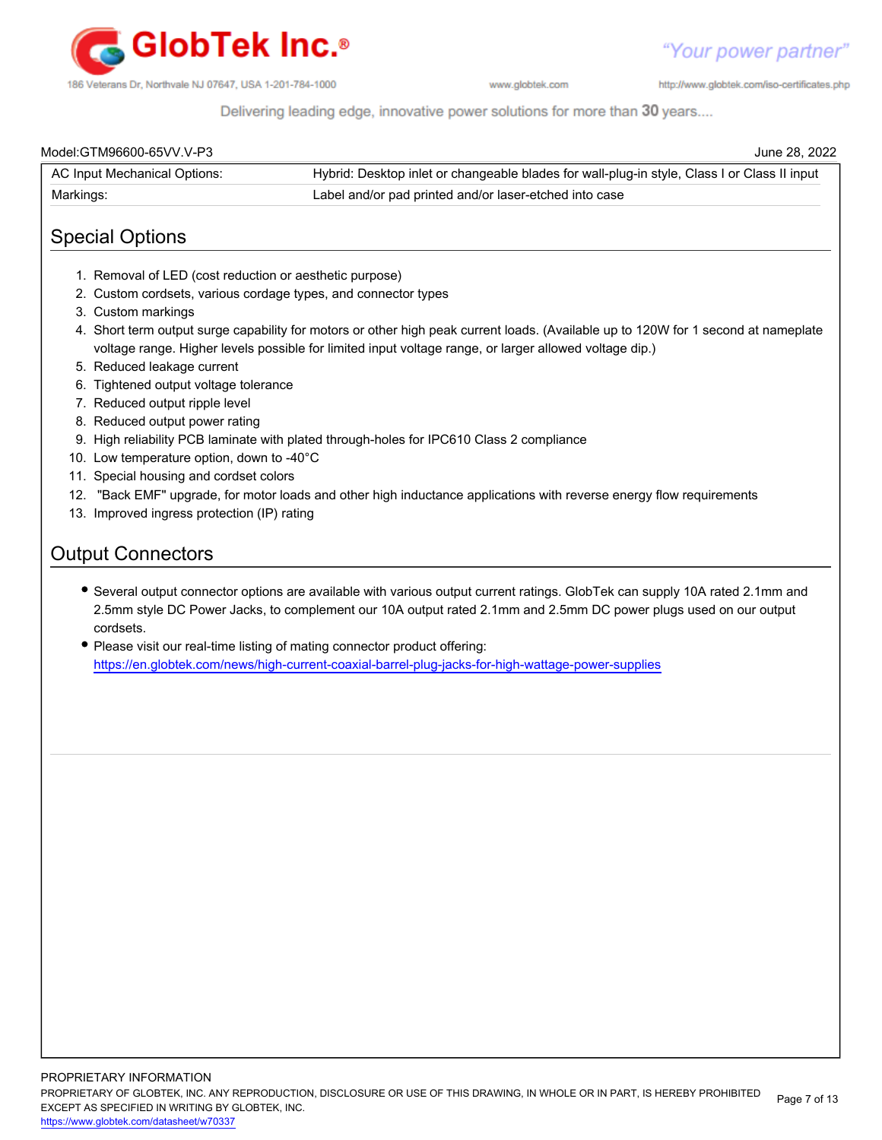

http://www.globtek.com/iso-certificates.php

Delivering leading edge, innovative power solutions for more than 30 years....

| Model:GTM96600-65VV.V-P3     | June 28, 2022                                                                                |
|------------------------------|----------------------------------------------------------------------------------------------|
| AC Input Mechanical Options: | Hybrid: Desktop inlet or changeable blades for wall-plug-in style, Class I or Class II input |
| Markings:                    | Label and/or pad printed and/or laser-etched into case                                       |

# Special Options

- 1. Removal of LED (cost reduction or aesthetic purpose)
- 2. Custom cordsets, various cordage types, and connector types
- 3. Custom markings
- 4. Short term output surge capability for motors or other high peak current loads. (Available up to 120W for 1 second at nameplate voltage range. Higher levels possible for limited input voltage range, or larger allowed voltage dip.)
- 5. Reduced leakage current
- 6. Tightened output voltage tolerance
- 7. Reduced output ripple level
- 8. Reduced output power rating
- 9. High reliability PCB laminate with plated through-holes for IPC610 Class 2 compliance
- 10. Low temperature option, down to -40°C
- 11. Special housing and cordset colors
- 12. "Back EMF" upgrade, for motor loads and other high inductance applications with reverse energy flow requirements
- 13. Improved ingress protection (IP) rating

# Output Connectors

- Several output connector options are available with various output current ratings. GlobTek can supply 10A rated 2.1mm and 2.5mm style DC Power Jacks, to complement our 10A output rated 2.1mm and 2.5mm DC power plugs used on our output cordsets.
- Please visit our real-time listing of mating connector product offering: <https://en.globtek.com/news/high-current-coaxial-barrel-plug-jacks-for-high-wattage-power-supplies>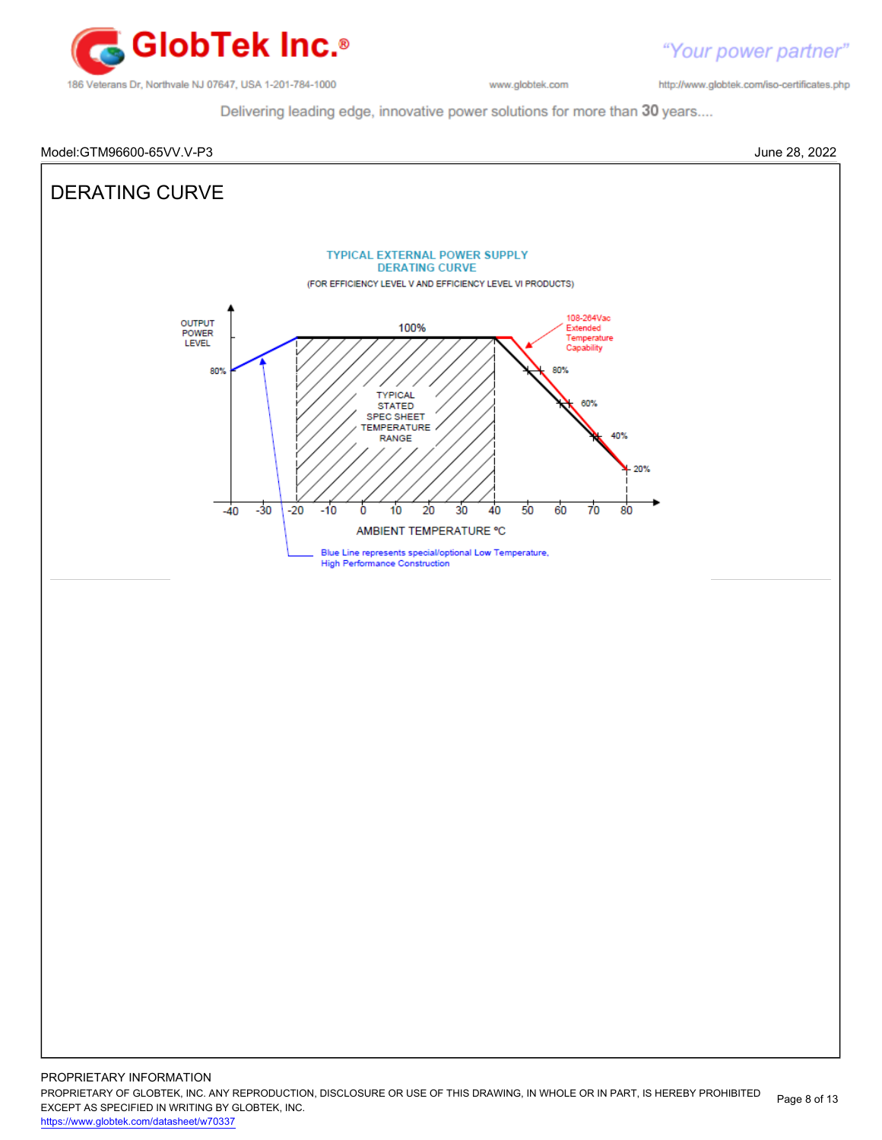

http://www.globtek.com/iso-certificates.php

Delivering leading edge, innovative power solutions for more than 30 years....



PROPRIETARY OF GLOBTEK, INC. ANY REPRODUCTION, DISCLOSURE OR USE OF THIS DRAWING, IN WHOLE OR IN PART, IS HEREBY PROHIBITED EXCEPT AS SPECIFIED IN WRITING BY GLOBTEK, INC. Page 8 of 13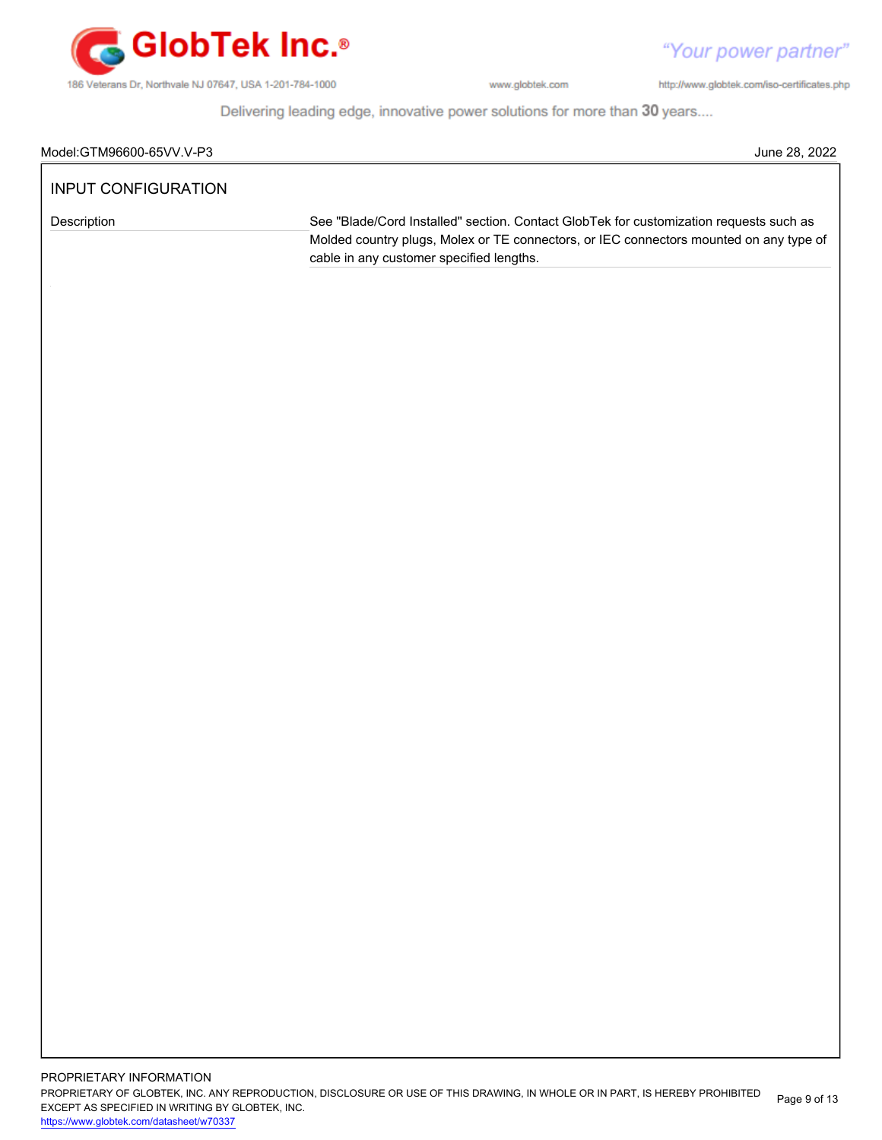

"Your power partner"

http://www.globtek.com/iso-certificates.php

Delivering leading edge, innovative power solutions for more than 30 years....

| Model:GTM96600-65VV.<br>$\sim$<br>.V-P3<br>J | 2022<br>28<br>June |
|----------------------------------------------|--------------------|
|                                              |                    |

# INPUT CONFIGURATION

Description See "Blade/Cord Installed" section. Contact GlobTek for customization requests such as Molded country plugs, Molex or TE connectors, or IEC connectors mounted on any type of cable in any customer specified lengths.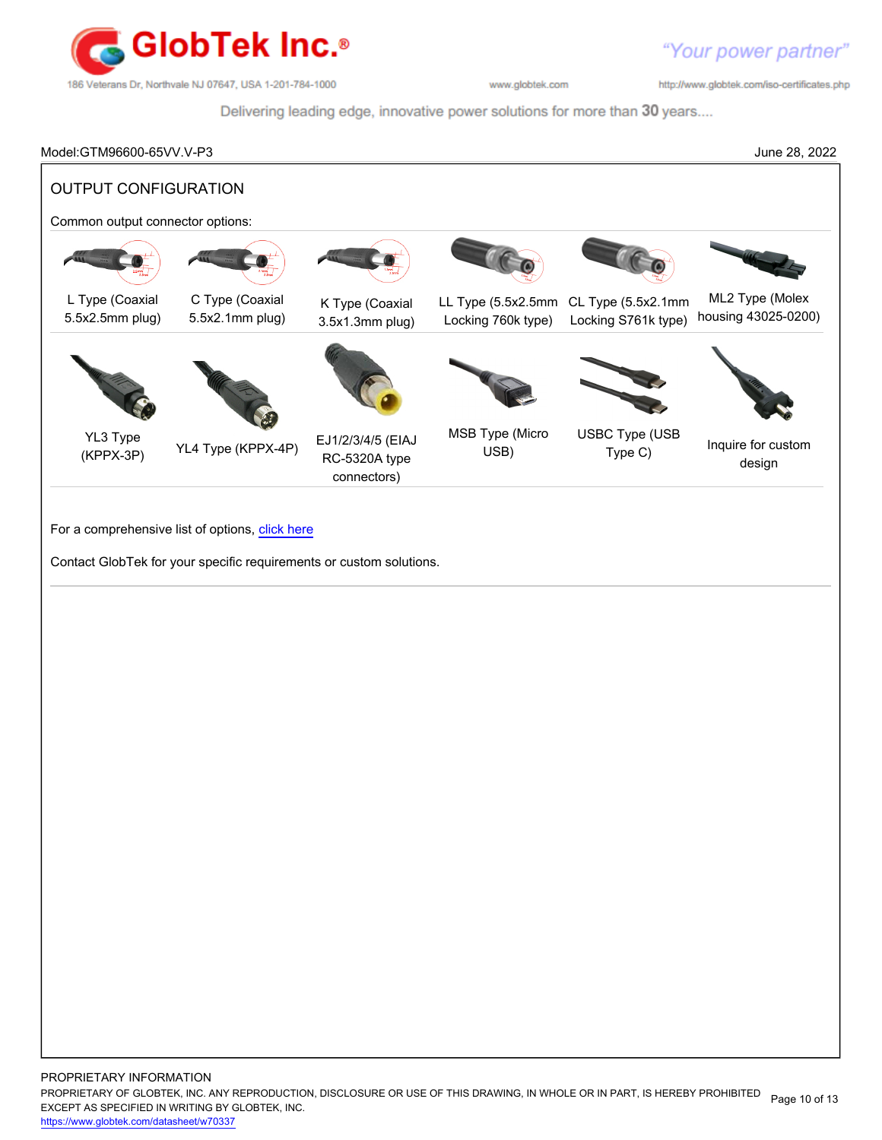

http://www.globtek.com/iso-certificates.php

Delivering leading edge, innovative power solutions for more than 30 years....

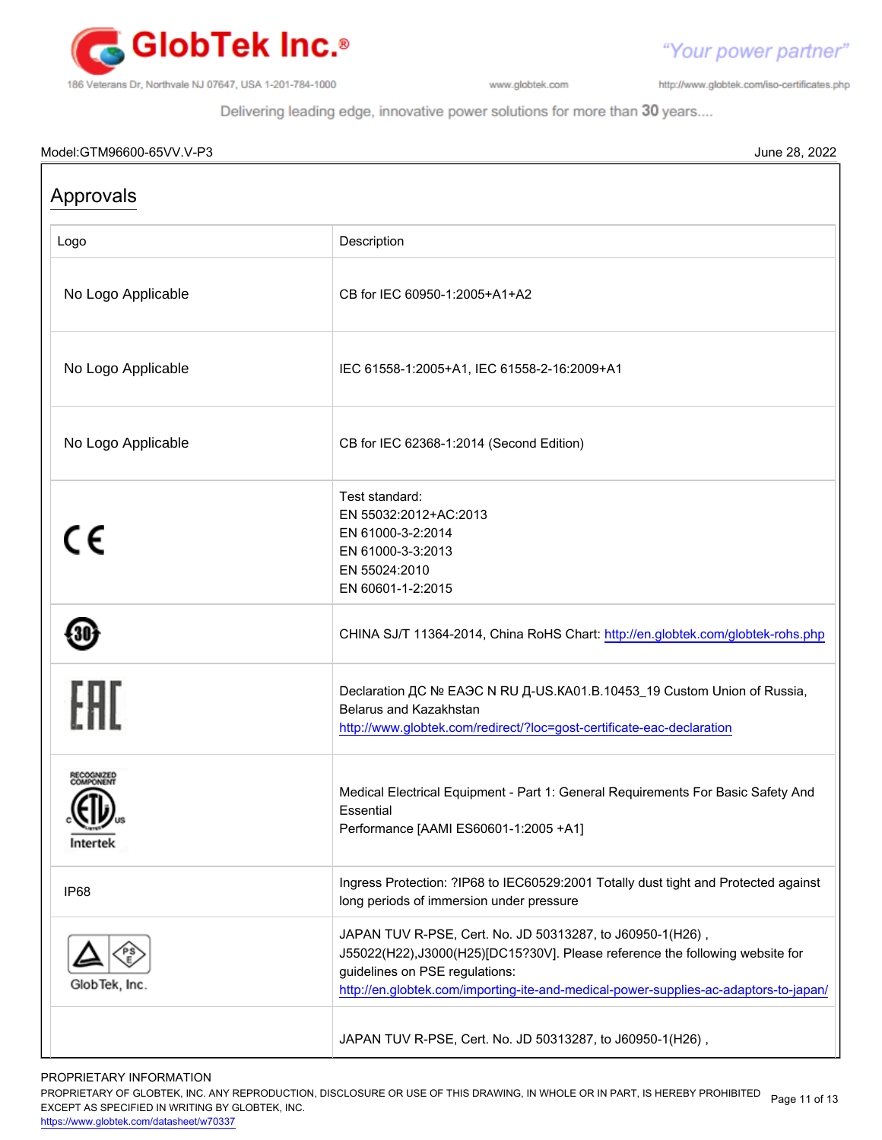

http://www.globtek.com/iso-certificates.php

"Your power partner"

Delivering leading edge, innovative power solutions for more than 30 years....

# Model:GTM96600-65VV.V-P3 June 28, 2022 Approvals Logo Description No Logo Applicable CB for IEC 60950-1:2005+A1+A2 No Logo Applicable IEC 61558-1:2005+A1, IEC 61558-2-16:2009+A1 No Logo Applicable **CB CB** for IEC 62368-1:2014 (Second Edition) Test standard: EN 55032:2012+AC:2013  $\epsilon$ EN 61000-3-2:2014 EN 61000-3-3:2013 EN 55024:2010 EN 60601-1-2:2015 430) CHINA SJ/T 11364-2014, China RoHS Chart: <http://en.globtek.com/globtek-rohs.php> Declaration ДС № ЕАЭС N RU Д-US.КА01.В.10453\_19 Custom Union of Russia, Belarus and Kazakhstan <http://www.globtek.com/redirect/?loc=gost-certificate-eac-declaration> Medical Electrical Equipment - Part 1: General Requirements For Basic Safety And Essential Performance [AAMI ES60601-1:2005 +A1] Intertek IP68 Ingress Protection: ?IP68 to IEC60529:2001 Totally dust tight and Protected against long periods of immersion under pressure JAPAN TUV R-PSE, Cert. No. JD 50313287, to J60950-1(H26) , J55022(H22),J3000(H25)[DC15?30V]. Please reference the following website for guidelines on PSE regulations: GlobTek, Inc. <http://en.globtek.com/importing-ite-and-medical-power-supplies-ac-adaptors-to-japan/> JAPAN TUV R-PSE, Cert. No. JD 50313287, to J60950-1(H26) ,

### PROPRIETARY INFORMATION

PROPRIETARY OF GLOBTEK, INC. ANY REPRODUCTION, DISCLOSURE OR USE OF THIS DRAWING, IN WHOLE OR IN PART, IS HEREBY PROHIBITED Page 11 of 13<br>EXALER 10 OREGIEIER WILKENIG BY OLOREEK WO EXCEPT AS SPECIFIED IN WRITING BY GLOBTEK, INC.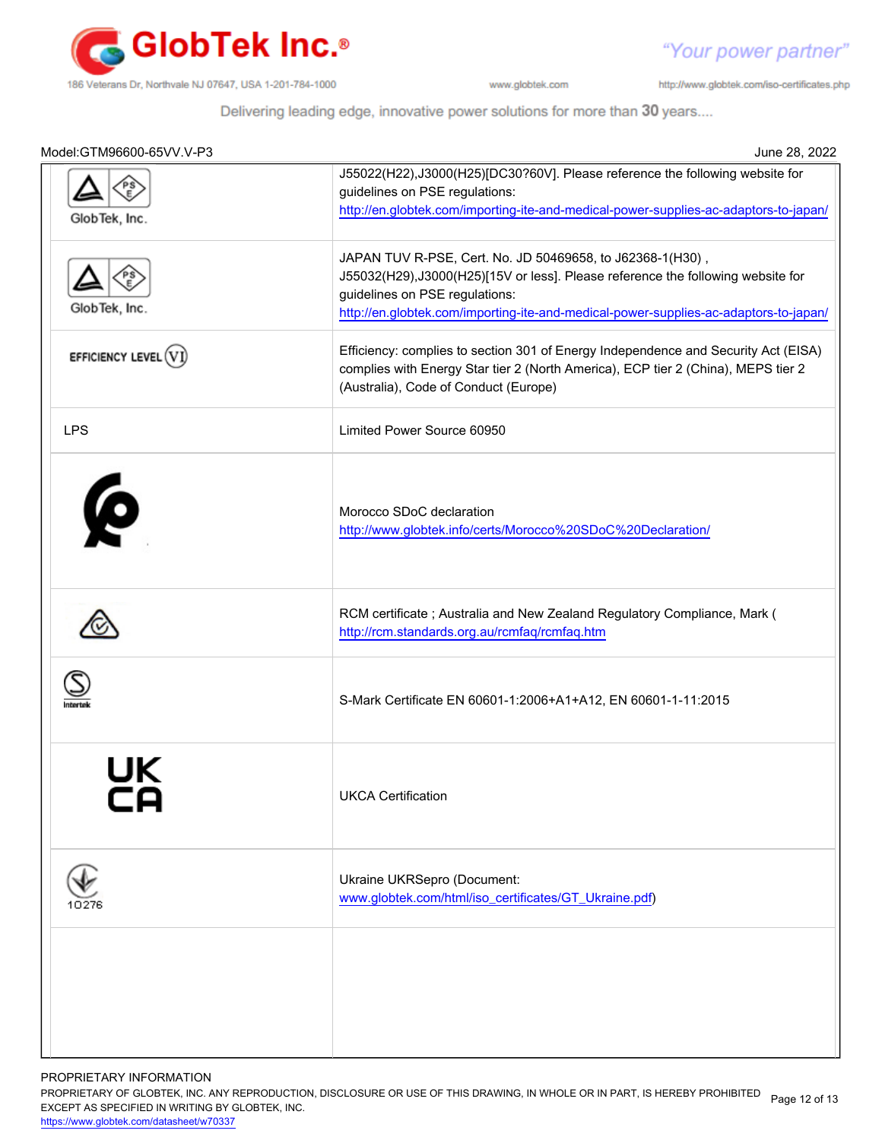

"Your power partner"

http://www.globtek.com/iso-certificates.php

Delivering leading edge, innovative power solutions for more than 30 years....

| Model:GTM96600-65VV.V-P3 | June 28, 2022                                                                                                                                                                                                                                                          |
|--------------------------|------------------------------------------------------------------------------------------------------------------------------------------------------------------------------------------------------------------------------------------------------------------------|
| GlobTek, Inc.            | J55022(H22),J3000(H25)[DC30?60V]. Please reference the following website for<br>guidelines on PSE regulations:<br>http://en.globtek.com/importing-ite-and-medical-power-supplies-ac-adaptors-to-japan/                                                                 |
| GlobTek, Inc.            | JAPAN TUV R-PSE, Cert. No. JD 50469658, to J62368-1(H30),<br>J55032(H29),J3000(H25)[15V or less]. Please reference the following website for<br>guidelines on PSE regulations:<br>http://en.globtek.com/importing-ite-and-medical-power-supplies-ac-adaptors-to-japan/ |
| EFFICIENCY LEVEL (       | Efficiency: complies to section 301 of Energy Independence and Security Act (EISA)<br>complies with Energy Star tier 2 (North America), ECP tier 2 (China), MEPS tier 2<br>(Australia), Code of Conduct (Europe)                                                       |
| <b>LPS</b>               | Limited Power Source 60950                                                                                                                                                                                                                                             |
| Ø                        | Morocco SDoC declaration<br>http://www.globtek.info/certs/Morocco%20SDoC%20Declaration/                                                                                                                                                                                |
|                          | RCM certificate; Australia and New Zealand Regulatory Compliance, Mark (<br>http://rcm.standards.org.au/rcmfaq/rcmfaq.htm                                                                                                                                              |
|                          | S-Mark Certificate EN 60601-1:2006+A1+A12, EN 60601-1-11:2015                                                                                                                                                                                                          |
|                          | <b>UKCA Certification</b>                                                                                                                                                                                                                                              |
|                          | Ukraine UKRSepro (Document:<br>www.globtek.com/html/iso_certificates/GT_Ukraine.pdf)                                                                                                                                                                                   |
|                          |                                                                                                                                                                                                                                                                        |

PROPRIETARY INFORMATION

PROPRIETARY OF GLOBTEK, INC. ANY REPRODUCTION, DISCLOSURE OR USE OF THIS DRAWING, IN WHOLE OR IN PART, IS HEREBY PROHIBITED Page 12 of 13<br>EXALER 10 OREGIEIER WILKENIG BY OLOREEK WO EXCEPT AS SPECIFIED IN WRITING BY GLOBTEK, INC.

<https://www.globtek.com/datasheet/w70337>